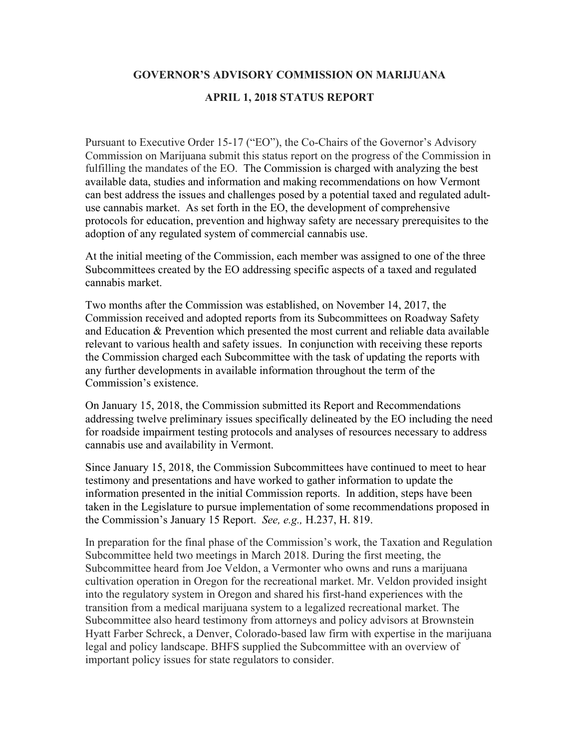## **GOVERNOR'S ADVISORY COMMISSION ON MARIJUANA**

## **APRIL 1, 2018 STATUS REPORT**

Pursuant to Executive Order 15-17 ("EO"), the Co-Chairs of the Governor's Advisory Commission on Marijuana submit this status report on the progress of the Commission in fulfilling the mandates of the EO. The Commission is charged with analyzing the best available data, studies and information and making recommendations on how Vermont can best address the issues and challenges posed by a potential taxed and regulated adultuse cannabis market. As set forth in the EO, the development of comprehensive protocols for education, prevention and highway safety are necessary prerequisites to the adoption of any regulated system of commercial cannabis use.

At the initial meeting of the Commission, each member was assigned to one of the three Subcommittees created by the EO addressing specific aspects of a taxed and regulated cannabis market.

Two months after the Commission was established, on November 14, 2017, the Commission received and adopted reports from its Subcommittees on Roadway Safety and Education & Prevention which presented the most current and reliable data available relevant to various health and safety issues. In conjunction with receiving these reports the Commission charged each Subcommittee with the task of updating the reports with any further developments in available information throughout the term of the Commission's existence.

On January 15, 2018, the Commission submitted its Report and Recommendations addressing twelve preliminary issues specifically delineated by the EO including the need for roadside impairment testing protocols and analyses of resources necessary to address cannabis use and availability in Vermont.

Since January 15, 2018, the Commission Subcommittees have continued to meet to hear testimony and presentations and have worked to gather information to update the information presented in the initial Commission reports. In addition, steps have been taken in the Legislature to pursue implementation of some recommendations proposed in the Commission's January 15 Report. *See, e.g.,* H.237, H. 819.

In preparation for the final phase of the Commission's work, the Taxation and Regulation Subcommittee held two meetings in March 2018. During the first meeting, the Subcommittee heard from Joe Veldon, a Vermonter who owns and runs a marijuana cultivation operation in Oregon for the recreational market. Mr. Veldon provided insight into the regulatory system in Oregon and shared his first-hand experiences with the transition from a medical marijuana system to a legalized recreational market. The Subcommittee also heard testimony from attorneys and policy advisors at Brownstein Hyatt Farber Schreck, a Denver, Colorado-based law firm with expertise in the marijuana legal and policy landscape. BHFS supplied the Subcommittee with an overview of important policy issues for state regulators to consider.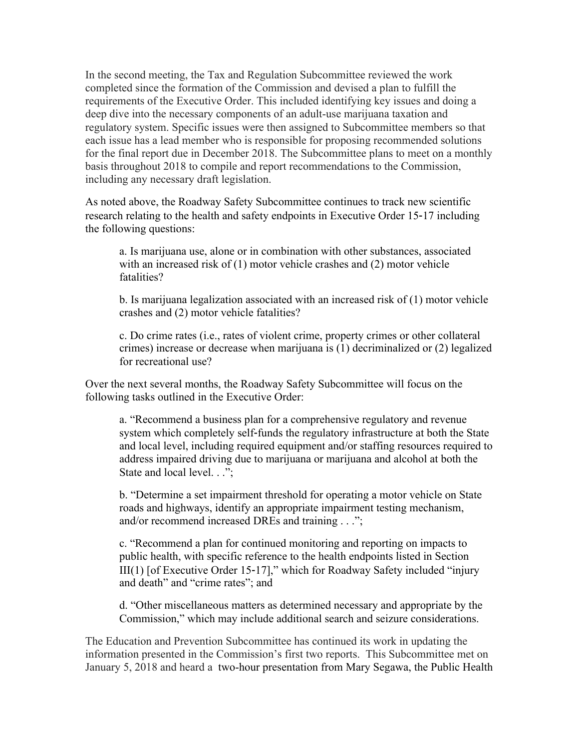In the second meeting, the Tax and Regulation Subcommittee reviewed the work completed since the formation of the Commission and devised a plan to fulfill the requirements of the Executive Order. This included identifying key issues and doing a deep dive into the necessary components of an adult-use marijuana taxation and regulatory system. Specific issues were then assigned to Subcommittee members so that each issue has a lead member who is responsible for proposing recommended solutions for the final report due in December 2018. The Subcommittee plans to meet on a monthly basis throughout 2018 to compile and report recommendations to the Commission, including any necessary draft legislation.

As noted above, the Roadway Safety Subcommittee continues to track new scientific research relating to the health and safety endpoints in Executive Order 15‐17 including the following questions:

a. Is marijuana use, alone or in combination with other substances, associated with an increased risk of (1) motor vehicle crashes and (2) motor vehicle fatalities?

b. Is marijuana legalization associated with an increased risk of (1) motor vehicle crashes and (2) motor vehicle fatalities?

c. Do crime rates (i.e., rates of violent crime, property crimes or other collateral crimes) increase or decrease when marijuana is (1) decriminalized or (2) legalized for recreational use?

Over the next several months, the Roadway Safety Subcommittee will focus on the following tasks outlined in the Executive Order:

a. "Recommend a business plan for a comprehensive regulatory and revenue system which completely self-funds the regulatory infrastructure at both the State and local level, including required equipment and/or staffing resources required to address impaired driving due to marijuana or marijuana and alcohol at both the State and local level. . .";

b. "Determine a set impairment threshold for operating a motor vehicle on State roads and highways, identify an appropriate impairment testing mechanism, and/or recommend increased DREs and training . . .";

c. "Recommend a plan for continued monitoring and reporting on impacts to public health, with specific reference to the health endpoints listed in Section III(1) [of Executive Order 15‐17]," which for Roadway Safety included "injury and death" and "crime rates"; and

d. "Other miscellaneous matters as determined necessary and appropriate by the Commission," which may include additional search and seizure considerations.

The Education and Prevention Subcommittee has continued its work in updating the information presented in the Commission's first two reports. This Subcommittee met on January 5, 2018 and heard a two-hour presentation from Mary Segawa, the Public Health